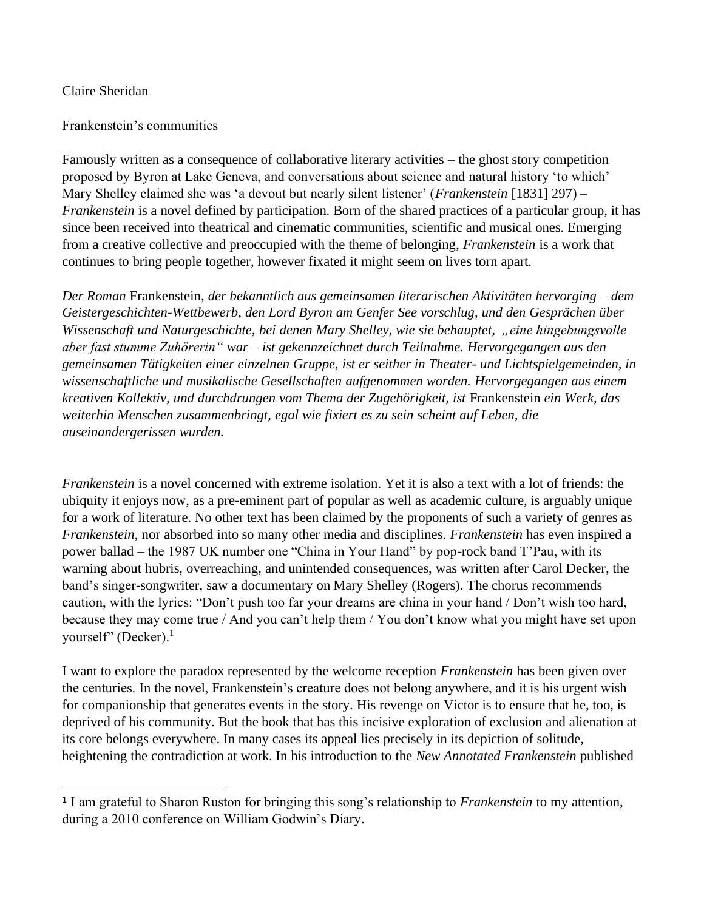## Claire Sheridan

## Frankenstein's communities

Famously written as a consequence of collaborative literary activities – the ghost story competition proposed by Byron at Lake Geneva, and conversations about science and natural history 'to which' Mary Shelley claimed she was 'a devout but nearly silent listener' (*Frankenstein* [1831] 297) – *Frankenstein* is a novel defined by participation. Born of the shared practices of a particular group, it has since been received into theatrical and cinematic communities, scientific and musical ones. Emerging from a creative collective and preoccupied with the theme of belonging, *Frankenstein* is a work that continues to bring people together, however fixated it might seem on lives torn apart.

*Der Roman* Frankenstein*, der bekanntlich aus gemeinsamen literarischen Aktivitäten hervorging – dem Geistergeschichten-Wettbewerb, den Lord Byron am Genfer See vorschlug, und den Gesprächen über Wissenschaft und Naturgeschichte, bei denen Mary Shelley, wie sie behauptet, "eine hingebungsvolle aber fast stumme Zuhörerin" war – ist gekennzeichnet durch Teilnahme. Hervorgegangen aus den gemeinsamen Tätigkeiten einer einzelnen Gruppe, ist er seither in Theater- und Lichtspielgemeinden, in wissenschaftliche und musikalische Gesellschaften aufgenommen worden. Hervorgegangen aus einem kreativen Kollektiv, und durchdrungen vom Thema der Zugehörigkeit, ist* Frankenstein *ein Werk, das weiterhin Menschen zusammenbringt, egal wie fixiert es zu sein scheint auf Leben, die auseinandergerissen wurden.*

*Frankenstein* is a novel concerned with extreme isolation. Yet it is also a text with a lot of friends: the ubiquity it enjoys now, as a pre-eminent part of popular as well as academic culture, is arguably unique for a work of literature. No other text has been claimed by the proponents of such a variety of genres as *Frankenstein*, nor absorbed into so many other media and disciplines. *Frankenstein* has even inspired a power ballad – the 1987 UK number one "China in Your Hand" by pop-rock band T'Pau, with its warning about hubris, overreaching, and unintended consequences, was written after Carol Decker, the band's singer-songwriter, saw a documentary on Mary Shelley (Rogers). The chorus recommends caution, with the lyrics: "Don't push too far your dreams are china in your hand / Don't wish too hard, because they may come true / And you can't help them / You don't know what you might have set upon yourself" (Decker).<sup>1</sup>

I want to explore the paradox represented by the welcome reception *Frankenstein* has been given over the centuries. In the novel, Frankenstein's creature does not belong anywhere, and it is his urgent wish for companionship that generates events in the story. His revenge on Victor is to ensure that he, too, is deprived of his community. But the book that has this incisive exploration of exclusion and alienation at its core belongs everywhere. In many cases its appeal lies precisely in its depiction of solitude, heightening the contradiction at work. In his introduction to the *New Annotated Frankenstein* published

<sup>1</sup> I am grateful to Sharon Ruston for bringing this song's relationship to *Frankenstein* to my attention, during a 2010 conference on William Godwin's Diary.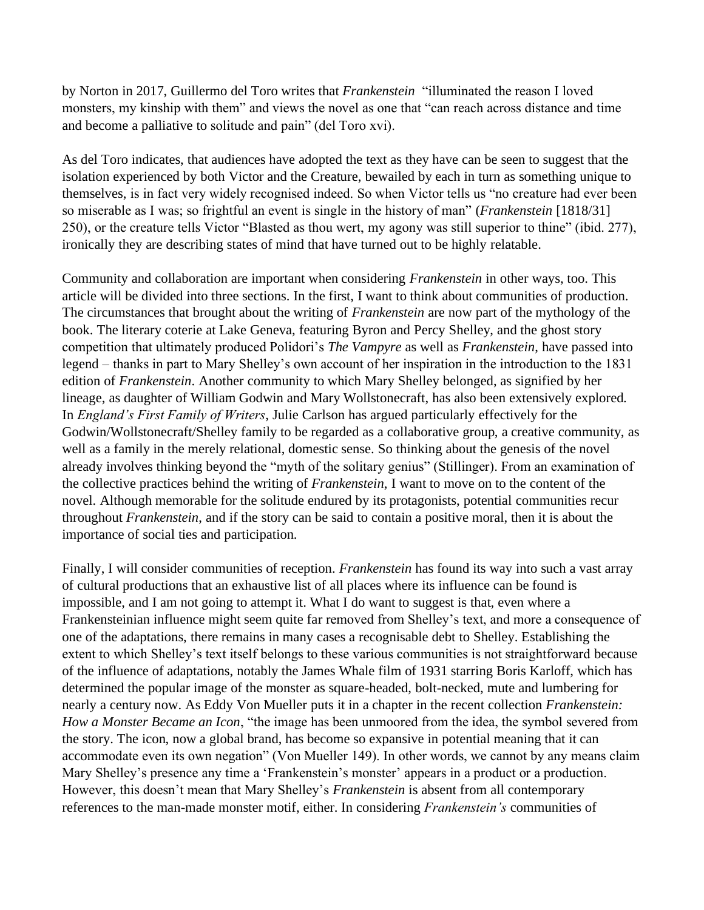by Norton in 2017, Guillermo del Toro writes that *Frankenstein* "illuminated the reason I loved monsters, my kinship with them" and views the novel as one that "can reach across distance and time and become a palliative to solitude and pain" (del Toro xvi).

As del Toro indicates, that audiences have adopted the text as they have can be seen to suggest that the isolation experienced by both Victor and the Creature, bewailed by each in turn as something unique to themselves, is in fact very widely recognised indeed. So when Victor tells us "no creature had ever been so miserable as I was; so frightful an event is single in the history of man" (*Frankenstein* [1818/31] 250), or the creature tells Victor "Blasted as thou wert, my agony was still superior to thine" (ibid. 277), ironically they are describing states of mind that have turned out to be highly relatable.

Community and collaboration are important when considering *Frankenstein* in other ways, too. This article will be divided into three sections. In the first, I want to think about communities of production. The circumstances that brought about the writing of *Frankenstein* are now part of the mythology of the book. The literary coterie at Lake Geneva, featuring Byron and Percy Shelley, and the ghost story competition that ultimately produced Polidori's *The Vampyre* as well as *Frankenstein*, have passed into legend – thanks in part to Mary Shelley's own account of her inspiration in the introduction to the 1831 edition of *Frankenstein*. Another community to which Mary Shelley belonged, as signified by her lineage, as daughter of William Godwin and Mary Wollstonecraft, has also been extensively explored. In *England's First Family of Writers*, Julie Carlson has argued particularly effectively for the Godwin/Wollstonecraft/Shelley family to be regarded as a collaborative group, a creative community, as well as a family in the merely relational, domestic sense. So thinking about the genesis of the novel already involves thinking beyond the "myth of the solitary genius" (Stillinger). From an examination of the collective practices behind the writing of *Frankenstein*, I want to move on to the content of the novel. Although memorable for the solitude endured by its protagonists, potential communities recur throughout *Frankenstein*, and if the story can be said to contain a positive moral, then it is about the importance of social ties and participation.

Finally, I will consider communities of reception. *Frankenstein* has found its way into such a vast array of cultural productions that an exhaustive list of all places where its influence can be found is impossible, and I am not going to attempt it. What I do want to suggest is that, even where a Frankensteinian influence might seem quite far removed from Shelley's text, and more a consequence of one of the adaptations, there remains in many cases a recognisable debt to Shelley. Establishing the extent to which Shelley's text itself belongs to these various communities is not straightforward because of the influence of adaptations, notably the James Whale film of 1931 starring Boris Karloff, which has determined the popular image of the monster as square-headed, bolt-necked, mute and lumbering for nearly a century now. As Eddy Von Mueller puts it in a chapter in the recent collection *Frankenstein: How a Monster Became an Icon*, "the image has been unmoored from the idea, the symbol severed from the story. The icon, now a global brand, has become so expansive in potential meaning that it can accommodate even its own negation" (Von Mueller 149). In other words, we cannot by any means claim Mary Shelley's presence any time a 'Frankenstein's monster' appears in a product or a production. However, this doesn't mean that Mary Shelley's *Frankenstein* is absent from all contemporary references to the man-made monster motif, either. In considering *Frankenstein's* communities of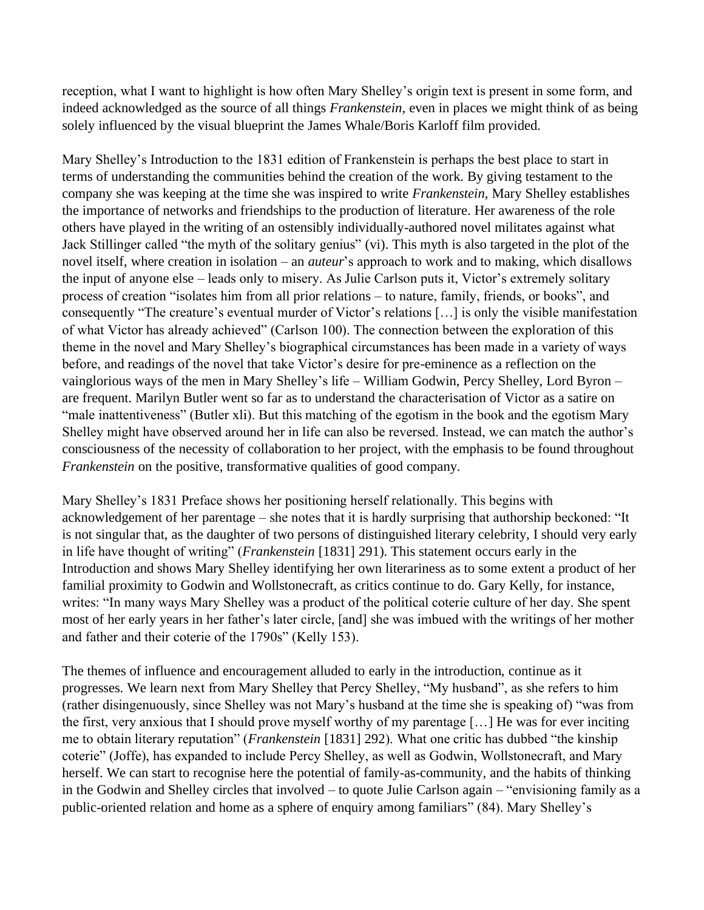reception, what I want to highlight is how often Mary Shelley's origin text is present in some form, and indeed acknowledged as the source of all things *Frankenstein*, even in places we might think of as being solely influenced by the visual blueprint the James Whale/Boris Karloff film provided.

Mary Shelley's Introduction to the 1831 edition of Frankenstein is perhaps the best place to start in terms of understanding the communities behind the creation of the work. By giving testament to the company she was keeping at the time she was inspired to write *Frankenstein*, Mary Shelley establishes the importance of networks and friendships to the production of literature. Her awareness of the role others have played in the writing of an ostensibly individually-authored novel militates against what Jack Stillinger called "the myth of the solitary genius" (vi). This myth is also targeted in the plot of the novel itself, where creation in isolation – an *auteur*'s approach to work and to making, which disallows the input of anyone else – leads only to misery. As Julie Carlson puts it, Victor's extremely solitary process of creation "isolates him from all prior relations – to nature, family, friends, or books", and consequently "The creature's eventual murder of Victor's relations […] is only the visible manifestation of what Victor has already achieved" (Carlson 100). The connection between the exploration of this theme in the novel and Mary Shelley's biographical circumstances has been made in a variety of ways before, and readings of the novel that take Victor's desire for pre-eminence as a reflection on the vainglorious ways of the men in Mary Shelley's life – William Godwin, Percy Shelley, Lord Byron – are frequent. Marilyn Butler went so far as to understand the characterisation of Victor as a satire on "male inattentiveness" (Butler xli). But this matching of the egotism in the book and the egotism Mary Shelley might have observed around her in life can also be reversed. Instead, we can match the author's consciousness of the necessity of collaboration to her project, with the emphasis to be found throughout *Frankenstein* on the positive, transformative qualities of good company.

Mary Shelley's 1831 Preface shows her positioning herself relationally. This begins with acknowledgement of her parentage – she notes that it is hardly surprising that authorship beckoned: "It is not singular that, as the daughter of two persons of distinguished literary celebrity, I should very early in life have thought of writing" (*Frankenstein* [1831] 291). This statement occurs early in the Introduction and shows Mary Shelley identifying her own literariness as to some extent a product of her familial proximity to Godwin and Wollstonecraft, as critics continue to do. Gary Kelly, for instance, writes: "In many ways Mary Shelley was a product of the political coterie culture of her day. She spent most of her early years in her father's later circle, [and] she was imbued with the writings of her mother and father and their coterie of the 1790s" (Kelly 153).

The themes of influence and encouragement alluded to early in the introduction, continue as it progresses. We learn next from Mary Shelley that Percy Shelley, "My husband", as she refers to him (rather disingenuously, since Shelley was not Mary's husband at the time she is speaking of) "was from the first, very anxious that I should prove myself worthy of my parentage […] He was for ever inciting me to obtain literary reputation" (*Frankenstein* [1831] 292). What one critic has dubbed "the kinship coterie" (Joffe), has expanded to include Percy Shelley, as well as Godwin, Wollstonecraft, and Mary herself. We can start to recognise here the potential of family-as-community, and the habits of thinking in the Godwin and Shelley circles that involved – to quote Julie Carlson again – "envisioning family as a public-oriented relation and home as a sphere of enquiry among familiars" (84). Mary Shelley's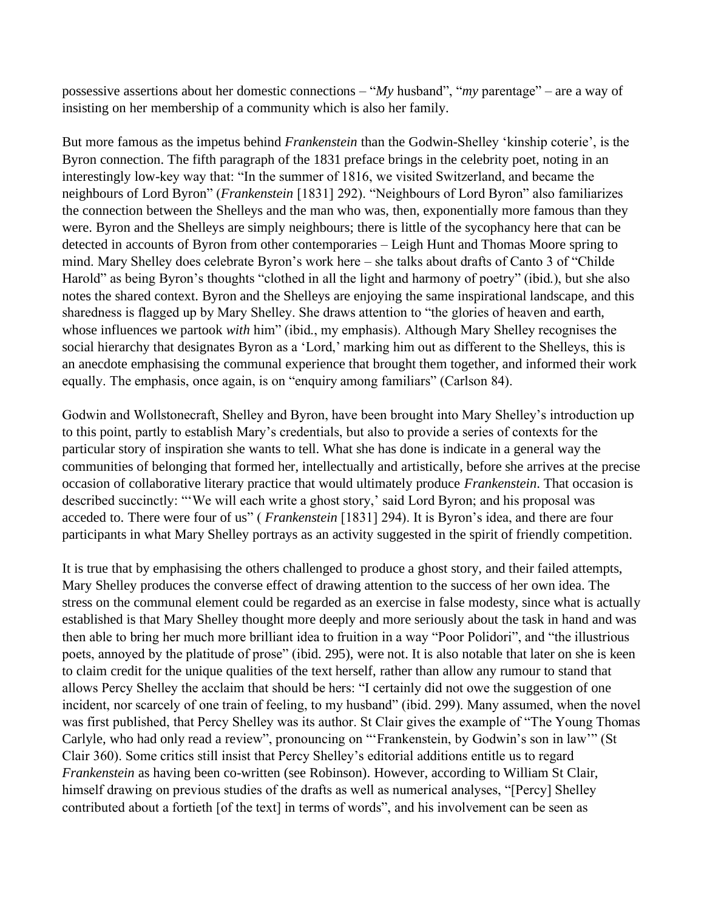possessive assertions about her domestic connections – "*My* husband", "*my* parentage" – are a way of insisting on her membership of a community which is also her family.

But more famous as the impetus behind *Frankenstein* than the Godwin-Shelley 'kinship coterie', is the Byron connection. The fifth paragraph of the 1831 preface brings in the celebrity poet, noting in an interestingly low-key way that: "In the summer of 1816, we visited Switzerland, and became the neighbours of Lord Byron" (*Frankenstein* [1831] 292). "Neighbours of Lord Byron" also familiarizes the connection between the Shelleys and the man who was, then, exponentially more famous than they were. Byron and the Shelleys are simply neighbours; there is little of the sycophancy here that can be detected in accounts of Byron from other contemporaries – Leigh Hunt and Thomas Moore spring to mind. Mary Shelley does celebrate Byron's work here – she talks about drafts of Canto 3 of "Childe Harold" as being Byron's thoughts "clothed in all the light and harmony of poetry" (ibid.), but she also notes the shared context. Byron and the Shelleys are enjoying the same inspirational landscape, and this sharedness is flagged up by Mary Shelley. She draws attention to "the glories of heaven and earth, whose influences we partook *with* him" (ibid., my emphasis). Although Mary Shelley recognises the social hierarchy that designates Byron as a 'Lord,' marking him out as different to the Shelleys, this is an anecdote emphasising the communal experience that brought them together, and informed their work equally. The emphasis, once again, is on "enquiry among familiars" (Carlson 84).

Godwin and Wollstonecraft, Shelley and Byron, have been brought into Mary Shelley's introduction up to this point, partly to establish Mary's credentials, but also to provide a series of contexts for the particular story of inspiration she wants to tell. What she has done is indicate in a general way the communities of belonging that formed her, intellectually and artistically, before she arrives at the precise occasion of collaborative literary practice that would ultimately produce *Frankenstein*. That occasion is described succinctly: "'We will each write a ghost story,' said Lord Byron; and his proposal was acceded to. There were four of us" ( *Frankenstein* [1831] 294). It is Byron's idea, and there are four participants in what Mary Shelley portrays as an activity suggested in the spirit of friendly competition.

It is true that by emphasising the others challenged to produce a ghost story, and their failed attempts, Mary Shelley produces the converse effect of drawing attention to the success of her own idea. The stress on the communal element could be regarded as an exercise in false modesty, since what is actually established is that Mary Shelley thought more deeply and more seriously about the task in hand and was then able to bring her much more brilliant idea to fruition in a way "Poor Polidori", and "the illustrious poets, annoyed by the platitude of prose" (ibid. 295), were not. It is also notable that later on she is keen to claim credit for the unique qualities of the text herself, rather than allow any rumour to stand that allows Percy Shelley the acclaim that should be hers: "I certainly did not owe the suggestion of one incident, nor scarcely of one train of feeling, to my husband" (ibid. 299). Many assumed, when the novel was first published, that Percy Shelley was its author. St Clair gives the example of "The Young Thomas Carlyle, who had only read a review", pronouncing on "'Frankenstein, by Godwin's son in law'" (St Clair 360). Some critics still insist that Percy Shelley's editorial additions entitle us to regard *Frankenstein* as having been co-written (see Robinson). However, according to William St Clair, himself drawing on previous studies of the drafts as well as numerical analyses, "[Percy] Shelley contributed about a fortieth [of the text] in terms of words", and his involvement can be seen as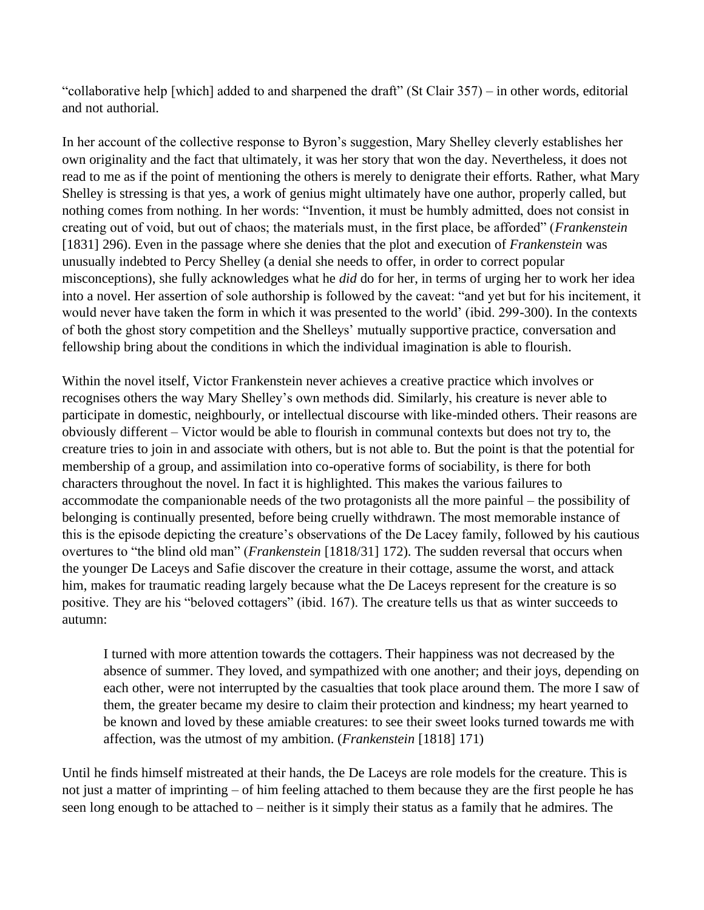"collaborative help [which] added to and sharpened the draft" (St Clair 357) – in other words, editorial and not authorial.

In her account of the collective response to Byron's suggestion, Mary Shelley cleverly establishes her own originality and the fact that ultimately, it was her story that won the day. Nevertheless, it does not read to me as if the point of mentioning the others is merely to denigrate their efforts. Rather, what Mary Shelley is stressing is that yes, a work of genius might ultimately have one author, properly called, but nothing comes from nothing. In her words: "Invention, it must be humbly admitted, does not consist in creating out of void, but out of chaos; the materials must, in the first place, be afforded" (*Frankenstein* [1831] 296). Even in the passage where she denies that the plot and execution of *Frankenstein* was unusually indebted to Percy Shelley (a denial she needs to offer, in order to correct popular misconceptions), she fully acknowledges what he *did* do for her, in terms of urging her to work her idea into a novel. Her assertion of sole authorship is followed by the caveat: "and yet but for his incitement, it would never have taken the form in which it was presented to the world' (ibid. 299-300). In the contexts of both the ghost story competition and the Shelleys' mutually supportive practice, conversation and fellowship bring about the conditions in which the individual imagination is able to flourish.

Within the novel itself, Victor Frankenstein never achieves a creative practice which involves or recognises others the way Mary Shelley's own methods did. Similarly, his creature is never able to participate in domestic, neighbourly, or intellectual discourse with like-minded others. Their reasons are obviously different – Victor would be able to flourish in communal contexts but does not try to, the creature tries to join in and associate with others, but is not able to. But the point is that the potential for membership of a group, and assimilation into co-operative forms of sociability, is there for both characters throughout the novel. In fact it is highlighted. This makes the various failures to accommodate the companionable needs of the two protagonists all the more painful – the possibility of belonging is continually presented, before being cruelly withdrawn. The most memorable instance of this is the episode depicting the creature's observations of the De Lacey family, followed by his cautious overtures to "the blind old man" (*Frankenstein* [1818/31] 172). The sudden reversal that occurs when the younger De Laceys and Safie discover the creature in their cottage, assume the worst, and attack him, makes for traumatic reading largely because what the De Laceys represent for the creature is so positive. They are his "beloved cottagers" (ibid. 167). The creature tells us that as winter succeeds to autumn:

I turned with more attention towards the cottagers. Their happiness was not decreased by the absence of summer. They loved, and sympathized with one another; and their joys, depending on each other, were not interrupted by the casualties that took place around them. The more I saw of them, the greater became my desire to claim their protection and kindness; my heart yearned to be known and loved by these amiable creatures: to see their sweet looks turned towards me with affection, was the utmost of my ambition. (*Frankenstein* [1818] 171)

Until he finds himself mistreated at their hands, the De Laceys are role models for the creature. This is not just a matter of imprinting – of him feeling attached to them because they are the first people he has seen long enough to be attached to – neither is it simply their status as a family that he admires. The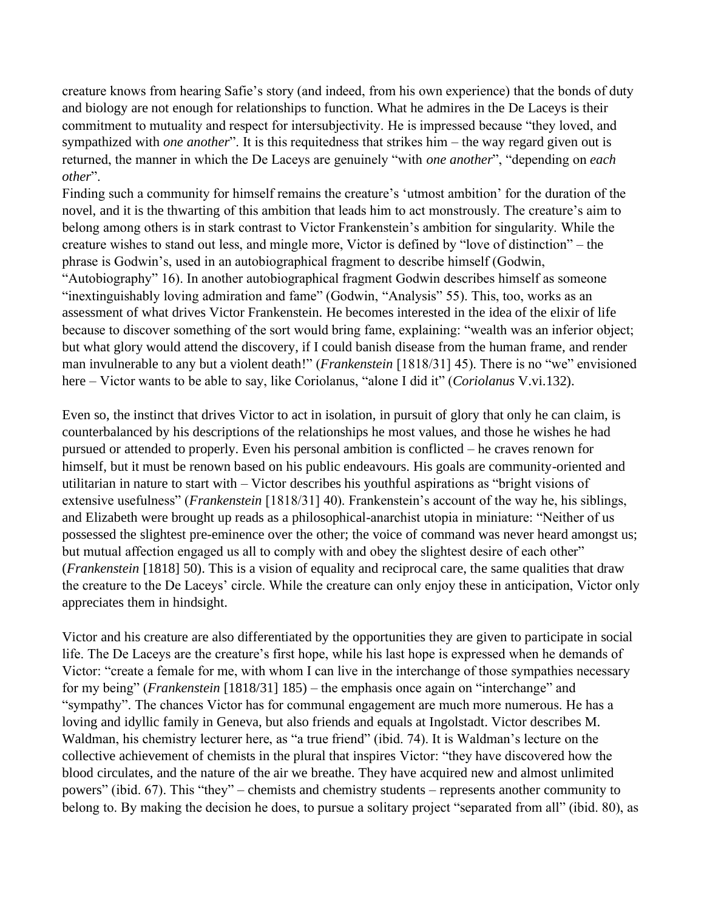creature knows from hearing Safie's story (and indeed, from his own experience) that the bonds of duty and biology are not enough for relationships to function. What he admires in the De Laceys is their commitment to mutuality and respect for intersubjectivity. He is impressed because "they loved, and sympathized with *one another*". It is this requitedness that strikes him – the way regard given out is returned, the manner in which the De Laceys are genuinely "with *one another*", "depending on *each other*".

Finding such a community for himself remains the creature's 'utmost ambition' for the duration of the novel, and it is the thwarting of this ambition that leads him to act monstrously. The creature's aim to belong among others is in stark contrast to Victor Frankenstein's ambition for singularity. While the creature wishes to stand out less, and mingle more, Victor is defined by "love of distinction" – the phrase is Godwin's, used in an autobiographical fragment to describe himself (Godwin, "Autobiography" 16). In another autobiographical fragment Godwin describes himself as someone "inextinguishably loving admiration and fame" (Godwin, "Analysis" 55). This, too, works as an assessment of what drives Victor Frankenstein. He becomes interested in the idea of the elixir of life because to discover something of the sort would bring fame, explaining: "wealth was an inferior object; but what glory would attend the discovery, if I could banish disease from the human frame, and render man invulnerable to any but a violent death!" (*Frankenstein* [1818/31] 45). There is no "we" envisioned here – Victor wants to be able to say, like Coriolanus, "alone I did it" (*Coriolanus* V.vi.132).

Even so, the instinct that drives Victor to act in isolation, in pursuit of glory that only he can claim, is counterbalanced by his descriptions of the relationships he most values, and those he wishes he had pursued or attended to properly. Even his personal ambition is conflicted – he craves renown for himself, but it must be renown based on his public endeavours. His goals are community-oriented and utilitarian in nature to start with – Victor describes his youthful aspirations as "bright visions of extensive usefulness" (*Frankenstein* [1818/31] 40). Frankenstein's account of the way he, his siblings, and Elizabeth were brought up reads as a philosophical-anarchist utopia in miniature: "Neither of us possessed the slightest pre-eminence over the other; the voice of command was never heard amongst us; but mutual affection engaged us all to comply with and obey the slightest desire of each other" (*Frankenstein* [1818] 50). This is a vision of equality and reciprocal care, the same qualities that draw the creature to the De Laceys' circle. While the creature can only enjoy these in anticipation, Victor only appreciates them in hindsight.

Victor and his creature are also differentiated by the opportunities they are given to participate in social life. The De Laceys are the creature's first hope, while his last hope is expressed when he demands of Victor: "create a female for me, with whom I can live in the interchange of those sympathies necessary for my being" (*Frankenstein* [1818/31] 185) – the emphasis once again on "interchange" and "sympathy". The chances Victor has for communal engagement are much more numerous. He has a loving and idyllic family in Geneva, but also friends and equals at Ingolstadt. Victor describes M. Waldman, his chemistry lecturer here, as "a true friend" (ibid. 74). It is Waldman's lecture on the collective achievement of chemists in the plural that inspires Victor: "they have discovered how the blood circulates, and the nature of the air we breathe. They have acquired new and almost unlimited powers" (ibid. 67). This "they" – chemists and chemistry students – represents another community to belong to. By making the decision he does, to pursue a solitary project "separated from all" (ibid. 80), as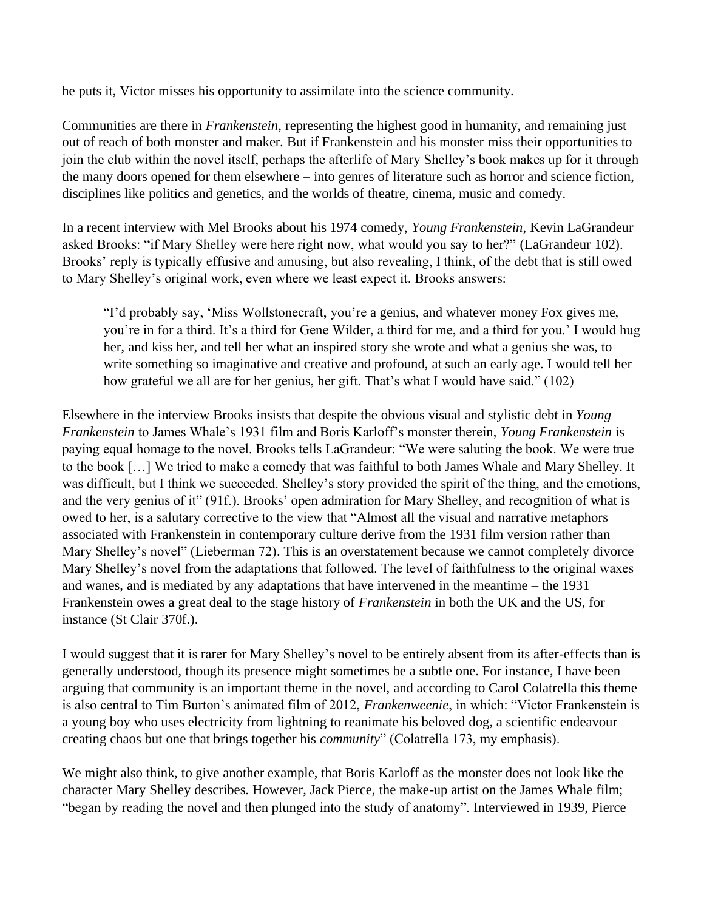he puts it, Victor misses his opportunity to assimilate into the science community.

Communities are there in *Frankenstein*, representing the highest good in humanity, and remaining just out of reach of both monster and maker. But if Frankenstein and his monster miss their opportunities to join the club within the novel itself, perhaps the afterlife of Mary Shelley's book makes up for it through the many doors opened for them elsewhere – into genres of literature such as horror and science fiction, disciplines like politics and genetics, and the worlds of theatre, cinema, music and comedy.

In a recent interview with Mel Brooks about his 1974 comedy, *Young Frankenstein*, Kevin LaGrandeur asked Brooks: "if Mary Shelley were here right now, what would you say to her?" (LaGrandeur 102). Brooks' reply is typically effusive and amusing, but also revealing, I think, of the debt that is still owed to Mary Shelley's original work, even where we least expect it. Brooks answers:

"I'd probably say, 'Miss Wollstonecraft, you're a genius, and whatever money Fox gives me, you're in for a third. It's a third for Gene Wilder, a third for me, and a third for you.' I would hug her, and kiss her, and tell her what an inspired story she wrote and what a genius she was, to write something so imaginative and creative and profound, at such an early age. I would tell her how grateful we all are for her genius, her gift. That's what I would have said." (102)

Elsewhere in the interview Brooks insists that despite the obvious visual and stylistic debt in *Young Frankenstein* to James Whale's 1931 film and Boris Karloff's monster therein, *Young Frankenstein* is paying equal homage to the novel. Brooks tells LaGrandeur: "We were saluting the book. We were true to the book […] We tried to make a comedy that was faithful to both James Whale and Mary Shelley. It was difficult, but I think we succeeded. Shelley's story provided the spirit of the thing, and the emotions, and the very genius of it" (91f.). Brooks' open admiration for Mary Shelley, and recognition of what is owed to her, is a salutary corrective to the view that "Almost all the visual and narrative metaphors associated with Frankenstein in contemporary culture derive from the 1931 film version rather than Mary Shelley's novel" (Lieberman 72). This is an overstatement because we cannot completely divorce Mary Shelley's novel from the adaptations that followed. The level of faithfulness to the original waxes and wanes, and is mediated by any adaptations that have intervened in the meantime – the 1931 Frankenstein owes a great deal to the stage history of *Frankenstein* in both the UK and the US, for instance (St Clair 370f.).

I would suggest that it is rarer for Mary Shelley's novel to be entirely absent from its after-effects than is generally understood, though its presence might sometimes be a subtle one. For instance, I have been arguing that community is an important theme in the novel, and according to Carol Colatrella this theme is also central to Tim Burton's animated film of 2012, *Frankenweenie*, in which: "Victor Frankenstein is a young boy who uses electricity from lightning to reanimate his beloved dog, a scientific endeavour creating chaos but one that brings together his *community*" (Colatrella 173, my emphasis).

We might also think, to give another example, that Boris Karloff as the monster does not look like the character Mary Shelley describes. However, Jack Pierce, the make-up artist on the James Whale film; "began by reading the novel and then plunged into the study of anatomy". Interviewed in 1939, Pierce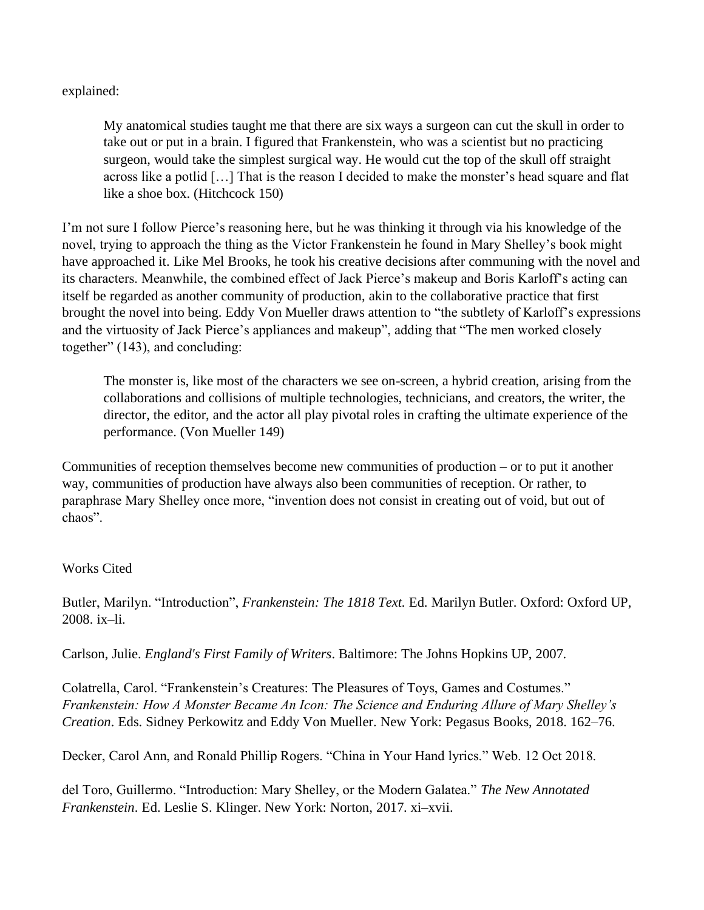## explained:

My anatomical studies taught me that there are six ways a surgeon can cut the skull in order to take out or put in a brain. I figured that Frankenstein, who was a scientist but no practicing surgeon, would take the simplest surgical way. He would cut the top of the skull off straight across like a potlid […] That is the reason I decided to make the monster's head square and flat like a shoe box. (Hitchcock 150)

I'm not sure I follow Pierce's reasoning here, but he was thinking it through via his knowledge of the novel, trying to approach the thing as the Victor Frankenstein he found in Mary Shelley's book might have approached it. Like Mel Brooks, he took his creative decisions after communing with the novel and its characters. Meanwhile, the combined effect of Jack Pierce's makeup and Boris Karloff's acting can itself be regarded as another community of production, akin to the collaborative practice that first brought the novel into being. Eddy Von Mueller draws attention to "the subtlety of Karloff's expressions and the virtuosity of Jack Pierce's appliances and makeup", adding that "The men worked closely together" (143), and concluding:

The monster is, like most of the characters we see on-screen, a hybrid creation, arising from the collaborations and collisions of multiple technologies, technicians, and creators, the writer, the director, the editor, and the actor all play pivotal roles in crafting the ultimate experience of the performance. (Von Mueller 149)

Communities of reception themselves become new communities of production – or to put it another way, communities of production have always also been communities of reception. Or rather, to paraphrase Mary Shelley once more, "invention does not consist in creating out of void, but out of chaos".

## Works Cited

Butler, Marilyn. "Introduction", *Frankenstein: The 1818 Text.* Ed. Marilyn Butler. Oxford: Oxford UP, 2008. ix–li.

Carlson, Julie. *England's First Family of Writers*. Baltimore: The Johns Hopkins UP, 2007.

Colatrella, Carol. "Frankenstein's Creatures: The Pleasures of Toys, Games and Costumes." *Frankenstein: How A Monster Became An Icon: The Science and Enduring Allure of Mary Shelley's Creation*. Eds. Sidney Perkowitz and Eddy Von Mueller. New York: Pegasus Books, 2018. 162–76.

Decker, Carol Ann, and Ronald Phillip Rogers. "China in Your Hand lyrics." Web. 12 Oct 2018.

del Toro, Guillermo. "Introduction: Mary Shelley, or the Modern Galatea." *The New Annotated Frankenstein*. Ed. Leslie S. Klinger. New York: Norton, 2017. xi–xvii.